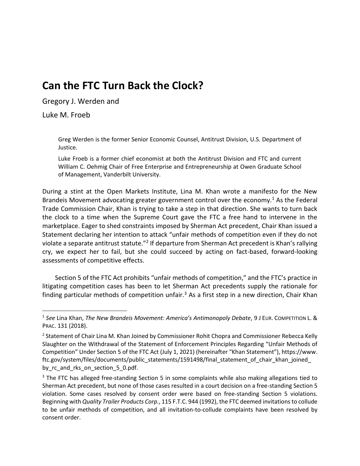# **Can the FTC Turn Back the Clock?**

Gregory J. Werden and

Luke M. Froeb

Greg Werden is the former Senior Economic Counsel, Antitrust Division, U.S. Department of Justice.

Luke Froeb is a former chief economist at both the Antitrust Division and FTC and current William C. Oehmig Chair of Free Enterprise and Entrepreneurship at Owen Graduate School of Management, Vanderbilt University.

During a stint at the Open Markets Institute, Lina M. Khan wrote a manifesto for the New Brandeis Movement advocating greater government control over the economy.<sup>1</sup> As the Federal Trade Commission Chair, Khan is trying to take a step in that direction. She wants to turn back the clock to a time when the Supreme Court gave the FTC a free hand to intervene in the marketplace. Eager to shed constraints imposed by Sherman Act precedent, Chair Khan issued a Statement declaring her intention to attack "unfair methods of competition even if they do not violate a separate antitrust statute."<sup>2</sup> If departure from Sherman Act precedent is Khan's rallying cry, we expect her to fail, but she could succeed by acting on fact-based, forward-looking assessments of competitive effects.

Section 5 of the FTC Act prohibits "unfair methods of competition," and the FTC's practice in litigating competition cases has been to let Sherman Act precedents supply the rationale for finding particular methods of competition unfair.<sup>3</sup> As a first step in a new direction, Chair Khan

<sup>1</sup> *See* Lina Khan, *The New Brandeis Movement: America's Antimonopoly Debate*, 9 J EUR. COMPETITION L. & PRAC. 131 (2018).

<sup>&</sup>lt;sup>2</sup> Statement of Chair Lina M. Khan Joined by Commissioner Rohit Chopra and Commissioner Rebecca Kelly Slaughter on the Withdrawal of the Statement of Enforcement Principles Regarding "Unfair Methods of Competition" Under Section 5 of the FTC Act (July 1, 2021) (hereinafter "Khan Statement"), https://www. ftc.gov/system/files/documents/public\_statements/1591498/final\_statement\_of\_chair\_khan\_joined\_ by\_rc\_and\_rks\_on\_section\_5\_0.pdf.

 $3$  The FTC has alleged free-standing Section 5 in some complaints while also making allegations tied to Sherman Act precedent, but none of those cases resulted in a court decision on a free-standing Section 5 violation. Some cases resolved by consent order were based on free-standing Section 5 violations. Beginning with *Quality Trailer Products Corp.*, 115 F.T.C. 944 (1992), the FTC deemed invitations to collude to be unfair methods of competition, and all invitation-to-collude complaints have been resolved by consent order.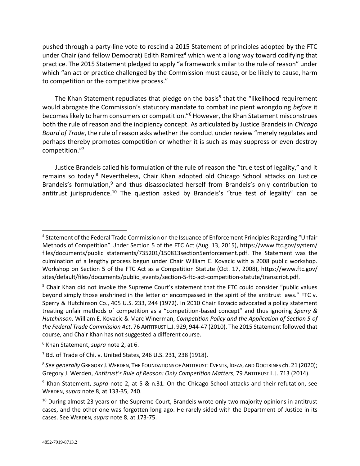pushed through a party-line vote to rescind a 2015 Statement of principles adopted by the FTC under Chair (and fellow Democrat) Edith Ramirez<sup>4</sup> which went a long way toward codifying that practice. The 2015 Statement pledged to apply "a framework similar to the rule of reason" under which "an act or practice challenged by the Commission must cause, or be likely to cause, harm to competition or the competitive process."

The Khan Statement repudiates that pledge on the basis<sup>5</sup> that the "likelihood requirement would abrogate the Commission's statutory mandate to combat incipient wrongdoing *before* it becomes likely to harm consumers or competition."<sup>6</sup> However, the Khan Statement misconstrues both the rule of reason and the incipiency concept. As articulated by Justice Brandeis in *Chicago Board of Trade*, the rule of reason asks whether the conduct under review "merely regulates and perhaps thereby promotes competition or whether it is such as may suppress or even destroy competition."<sup>7</sup>

Justice Brandeis called his formulation of the rule of reason the "true test of legality," and it remains so today.<sup>8</sup> Nevertheless, Chair Khan adopted old Chicago School attacks on Justice Brandeis's formulation, $9$  and thus disassociated herself from Brandeis's only contribution to antitrust jurisprudence.<sup>10</sup> The question asked by Brandeis's "true test of legality" can be

<sup>4</sup> Statement of the Federal Trade Commission on the Issuance of Enforcement Principles Regarding "Unfair Methods of Competition" Under Section 5 of the FTC Act (Aug. 13, 2015), https://www.ftc.gov/system/ files/documents/public\_statements/735201/150813section5enforcement.pdf. The Statement was the culmination of a lengthy process begun under Chair William E. Kovacic with a 2008 public workshop. Workshop on Section 5 of the FTC Act as a Competition Statute (Oct. 17, 2008), https://www.ftc.gov/ sites/default/files/documents/public\_events/section-5-ftc-act-competition-statute/transcript.pdf.

<sup>&</sup>lt;sup>5</sup> Chair Khan did not invoke the Supreme Court's statement that the FTC could consider "public values beyond simply those enshrined in the letter or encompassed in the spirit of the antitrust laws." FTC v. Sperry & Hutchinson Co., 405 U.S. 233, 244 (1972). In 2010 Chair Kovacic advocated a policy statement treating unfair methods of competition as a "competition-based concept" and thus ignoring *Sperry & Hutchinson*. William E. Kovacic & Marc Winerman, *Competition Policy and the Application of Section 5 of the Federal Trade Commission Act*, 76 ANTITRUST L.J. 929, 944-47 (2010). The 2015 Statement followed that course, and Chair Khan has not suggested a different course.

<sup>6</sup> Khan Statement, *supra* note 2, at 6.

<sup>7</sup> Bd. of Trade of Chi. v. United States, 246 U.S. 231, 238 (1918).

<sup>8</sup> *See generally* GREGORY J.WERDEN, THE FOUNDATIONS OF ANTITRUST: EVENTS, IDEAS, AND DOCTRINES ch. 21 (2020); Gregory J. Werden, *Antitrust's Rule of Reason: Only Competition Matters*, 79 ANTITRUST L.J. 713 (2014).

<sup>9</sup> Khan Statement, *supra* note 2, at 5 & n.31. On the Chicago School attacks and their refutation, see WERDEN, *supra* note 8, at 133-35, 240.

 $10$  During almost 23 years on the Supreme Court, Brandeis wrote only two majority opinions in antitrust cases, and the other one was forgotten long ago. He rarely sided with the Department of Justice in its cases. See WERDEN, *supra* note 8, at 173-75.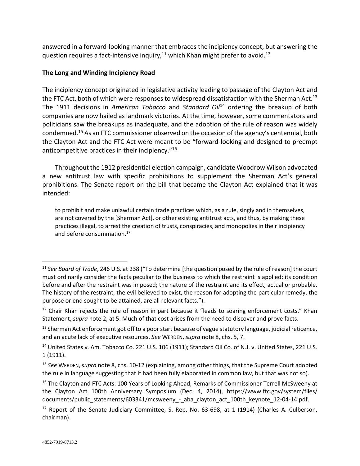answered in a forward-looking manner that embraces the incipiency concept, but answering the question requires a fact-intensive inquiry, $11$  which Khan might prefer to avoid.<sup>12</sup>

## **The Long and Winding Incipiency Road**

The incipiency concept originated in legislative activity leading to passage of the Clayton Act and the FTC Act, both of which were responses to widespread dissatisfaction with the Sherman Act.<sup>13</sup> The 1911 decisions in *American Tobacco* and *Standard Oil*<sup>14</sup> ordering the breakup of both companies are now hailed as landmark victories. At the time, however, some commentators and politicians saw the breakups as inadequate, and the adoption of the rule of reason was widely condemned.<sup>15</sup> As an FTC commissioner observed on the occasion of the agency's centennial, both the Clayton Act and the FTC Act were meant to be "forward-looking and designed to preempt anticompetitive practices in their incipiency."<sup>16</sup>

Throughout the 1912 presidential election campaign, candidate Woodrow Wilson advocated a new antitrust law with specific prohibitions to supplement the Sherman Act's general prohibitions. The Senate report on the bill that became the Clayton Act explained that it was intended:

to prohibit and make unlawful certain trade practices which, as a rule, singly and in themselves, are not covered by the [Sherman Act], or other existing antitrust acts, and thus, by making these practices illegal, to arrest the creation of trusts, conspiracies, and monopolies in their incipiency and before consummation.<sup>17</sup>

<sup>11</sup> *See Board of Trade*, 246 U.S. at 238 ("To determine [the question posed by the rule of reason] the court must ordinarily consider the facts peculiar to the business to which the restraint is applied; its condition before and after the restraint was imposed; the nature of the restraint and its effect, actual or probable. The history of the restraint, the evil believed to exist, the reason for adopting the particular remedy, the purpose or end sought to be attained, are all relevant facts.").

 $12$  Chair Khan rejects the rule of reason in part because it "leads to soaring enforcement costs." Khan Statement, *supra* note 2, at 5. Much of that cost arises from the need to discover and prove facts.

<sup>&</sup>lt;sup>13</sup> Sherman Act enforcement got off to a poor start because of vague statutory language, judicial reticence, and an acute lack of executive resources. *See* WERDEN, *supra* note 8, chs. 5, 7.

<sup>&</sup>lt;sup>14</sup> United States v. Am. Tobacco Co. 221 U.S. 106 (1911); Standard Oil Co. of N.J. v. United States, 221 U.S. 1 (1911).

<sup>15</sup> *See* WERDEN, *supra* note 8, chs. 10-12 (explaining, among other things, that the Supreme Court adopted the rule in language suggesting that it had been fully elaborated in common law, but that was not so).

<sup>&</sup>lt;sup>16</sup> The Clayton and FTC Acts: 100 Years of Looking Ahead, Remarks of Commissioner Terrell McSweeny at the Clayton Act 100th Anniversary Symposium (Dec. 4, 2014), https://www.ftc.gov/system/files/ documents/public\_statements/603341/mcsweeny\_-\_aba\_clayton\_act\_100th\_keynote\_12-04-14.pdf.

<sup>&</sup>lt;sup>17</sup> Report of the Senate Judiciary Committee, S. Rep. No. 63-698, at 1 (1914) (Charles A. Culberson, chairman).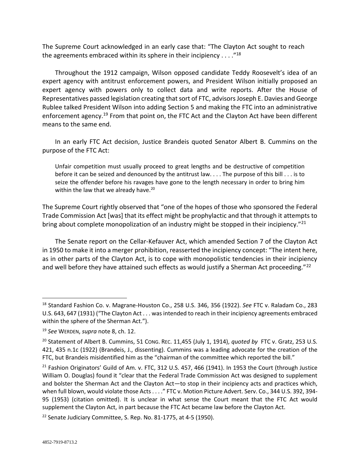The Supreme Court acknowledged in an early case that: "The Clayton Act sought to reach the agreements embraced within its sphere in their incipiency  $\dots$ ."<sup>18</sup>

Throughout the 1912 campaign, Wilson opposed candidate Teddy Roosevelt's idea of an expert agency with antitrust enforcement powers, and President Wilson initially proposed an expert agency with powers only to collect data and write reports. After the House of Representatives passed legislation creating that sort of FTC, advisors Joseph E. Davies and George Rublee talked President Wilson into adding Section 5 and making the FTC into an administrative enforcement agency.<sup>19</sup> From that point on, the FTC Act and the Clayton Act have been different means to the same end.

In an early FTC Act decision, Justice Brandeis quoted Senator Albert B. Cummins on the purpose of the FTC Act:

Unfair competition must usually proceed to great lengths and be destructive of competition before it can be seized and denounced by the antitrust law. . . . The purpose of this bill . . . is to seize the offender before his ravages have gone to the length necessary in order to bring him within the law that we already have. $20$ 

The Supreme Court rightly observed that "one of the hopes of those who sponsored the Federal Trade Commission Act [was] that its effect might be prophylactic and that through it attempts to bring about complete monopolization of an industry might be stopped in their incipiency."<sup>21</sup>

The Senate report on the Cellar-Kefauver Act, which amended Section 7 of the Clayton Act in 1950 to make it into a merger prohibition, reasserted the incipiency concept: "The intent here, as in other parts of the Clayton Act, is to cope with monopolistic tendencies in their incipiency and well before they have attained such effects as would justify a Sherman Act proceeding." $^{22}$ 

<sup>18</sup> Standard Fashion Co. v. Magrane-Houston Co., 258 U.S. 346, 356 (1922). *See* FTC v. Raladam Co., 283 U.S. 643, 647 (1931) ("The Clayton Act . . . was intended to reach in their incipiency agreements embraced within the sphere of the Sherman Act.").

<sup>19</sup> *See* WERDEN, *supra* note 8, ch. 12.

<sup>20</sup> Statement of Albert B. Cummins, 51 CONG. REC. 11,455 (July 1, 1914), *quoted by* FTC v. Gratz, 253 U.S. 421, 435 n.1c (1922) (Brandeis, J., dissenting). Cummins was a leading advocate for the creation of the FTC, but Brandeis misidentified him as the "chairman of the committee which reported the bill."

 $21$  Fashion Originators' Guild of Am. v. FTC, 312 U.S. 457, 466 (1941). In 1953 the Court (through Justice William O. Douglas) found it "clear that the Federal Trade Commission Act was designed to supplement and bolster the Sherman Act and the Clayton Act—to stop in their incipiency acts and practices which, when full blown, would violate those Acts . . . ." FTC v. Motion Picture Advert. Serv. Co., 344 U.S. 392, 394- 95 (1953) (citation omitted). It is unclear in what sense the Court meant that the FTC Act would supplement the Clayton Act, in part because the FTC Act became law before the Clayton Act.

 $22$  Senate Judiciary Committee, S. Rep. No. 81-1775, at 4-5 (1950).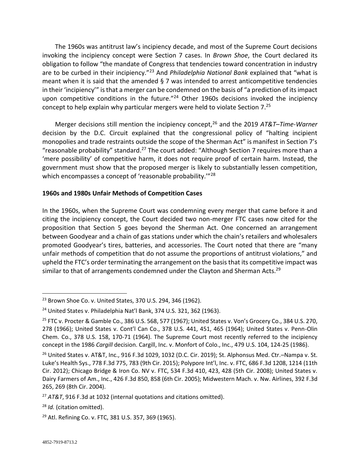The 1960s was antitrust law's incipiency decade, and most of the Supreme Court decisions invoking the incipiency concept were Section 7 cases. In *Brown Shoe*, the Court declared its obligation to follow "the mandate of Congress that tendencies toward concentration in industry are to be curbed in their incipiency."<sup>23</sup> And *Philadelphia National Bank* explained that "what is meant when it is said that the amended § 7 was intended to arrest anticompetitive tendencies in their 'incipiency'" is that a merger can be condemned on the basis of "a prediction of its impact upon competitive conditions in the future. $124$  Other 1960s decisions invoked the incipiency concept to help explain why particular mergers were held to violate Section 7.<sup>25</sup>

Merger decisions still mention the incipiency concept,<sup>26</sup> and the 2019 *AT&T–Time-Warner* decision by the D.C. Circuit explained that the congressional policy of "halting incipient monopolies and trade restraints outside the scope of the Sherman Act" is manifest in Section 7's "reasonable probability" standard.<sup>27</sup> The court added: "Although Section 7 requires more than a 'mere possibility' of competitive harm, it does not require proof of certain harm. Instead, the government must show that the proposed merger is likely to substantially lessen competition, which encompasses a concept of 'reasonable probability."<sup>28</sup>

### **1960s and 1980s Unfair Methods of Competition Cases**

In the 1960s, when the Supreme Court was condemning every merger that came before it and citing the incipiency concept, the Court decided two non-merger FTC cases now cited for the proposition that Section 5 goes beyond the Sherman Act. One concerned an arrangement between Goodyear and a chain of gas stations under which the chain's retailers and wholesalers promoted Goodyear's tires, batteries, and accessories. The Court noted that there are "many unfair methods of competition that do not assume the proportions of antitrust violations," and upheld the FTC's order terminating the arrangement on the basis that its competitive impact was similar to that of arrangements condemned under the Clayton and Sherman Acts.<sup>29</sup>

<sup>23</sup> Brown Shoe Co. v. United States, 370 U.S. 294, 346 (1962).

<sup>&</sup>lt;sup>24</sup> United States v. Philadelphia Nat'l Bank, 374 U.S. 321, 362 (1963).

<sup>&</sup>lt;sup>25</sup> FTC v. Procter & Gamble Co., 386 U.S. 568, 577 (1967); United States v. Von's Grocery Co., 384 U.S. 270, 278 (1966); United States v. Cont'l Can Co., 378 U.S. 441, 451, 465 (1964); United States v. Penn-Olin Chem. Co., 378 U.S. 158, 170-71 (1964). The Supreme Court most recently referred to the incipiency concept in the 1986 *Cargill* decision. Cargill, Inc. v. Monfort of Colo., Inc., 479 U.S. 104, 124-25 (1986).

 $^{26}$  United States v. AT&T, Inc., 916 F.3d 1029, 1032 (D.C. Cir. 2019); St. Alphonsus Med. Ctr.–Nampa v. St. Luke's Health Sys., 778 F.3d 775, 783 (9th Cir. 2015); Polypore Int'l, Inc. v. FTC, 686 F.3d 1208, 1214 (11th Cir. 2012); Chicago Bridge & Iron Co. NV v. FTC, 534 F.3d 410, 423, 428 (5th Cir. 2008); United States v. Dairy Farmers of Am., Inc., 426 F.3d 850, 858 (6th Cir. 2005); Midwestern Mach. v. Nw. Airlines, 392 F.3d 265, 269 (8th Cir. 2004).

<sup>27</sup> *AT&T*, 916 F.3d at 1032 (internal quotations and citations omitted).

<sup>28</sup> *Id.* (citation omitted).

<sup>&</sup>lt;sup>29</sup> Atl. Refining Co. v. FTC, 381 U.S. 357, 369 (1965).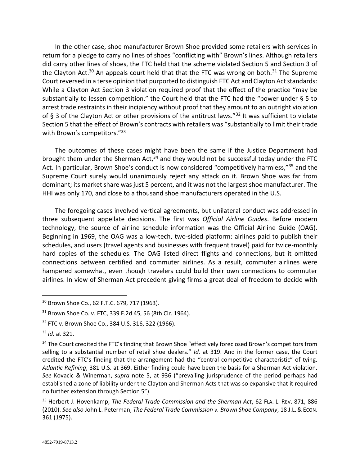In the other case, shoe manufacturer Brown Shoe provided some retailers with services in return for a pledge to carry no lines of shoes "conflicting with" Brown's lines. Although retailers did carry other lines of shoes, the FTC held that the scheme violated Section 5 and Section 3 of the Clayton Act.<sup>30</sup> An appeals court held that that the FTC was wrong on both.<sup>31</sup> The Supreme Court reversed in a terse opinion that purported to distinguish FTC Act and Clayton Act standards: While a Clayton Act Section 3 violation required proof that the effect of the practice "may be substantially to lessen competition," the Court held that the FTC had the "power under § 5 to arrest trade restraints in their incipiency without proof that they amount to an outright violation of § 3 of the Clayton Act or other provisions of the antitrust laws."<sup>32</sup> It was sufficient to violate Section 5 that the effect of Brown's contracts with retailers was "substantially to limit their trade with Brown's competitors."<sup>33</sup>

The outcomes of these cases might have been the same if the Justice Department had brought them under the Sherman Act, $34$  and they would not be successful today under the FTC Act. In particular, Brown Shoe's conduct is now considered "competitively harmless,"<sup>35</sup> and the Supreme Court surely would unanimously reject any attack on it. Brown Shoe was far from dominant; its market share was just 5 percent, and it was not the largest shoe manufacturer. The HHI was only 170, and close to a thousand shoe manufacturers operated in the U.S.

The foregoing cases involved vertical agreements, but unilateral conduct was addressed in three subsequent appellate decisions. The first was *Official Airline Guides*. Before modern technology, the source of airline schedule information was the Official Airline Guide (OAG). Beginning in 1969, the OAG was a low-tech, two-sided platform: airlines paid to publish their schedules, and users (travel agents and businesses with frequent travel) paid for twice-monthly hard copies of the schedules. The OAG listed direct flights and connections, but it omitted connections between certified and commuter airlines. As a result, commuter airlines were hampered somewhat, even though travelers could build their own connections to commuter airlines. In view of Sherman Act precedent giving firms a great deal of freedom to decide with

<sup>30</sup> Brown Shoe Co., 62 F.T.C. 679, 717 (1963).

<sup>31</sup> Brown Shoe Co. v. FTC, 339 F.2d 45, 56 (8th Cir. 1964).

<sup>32</sup> FTC v. Brown Shoe Co., 384 U.S. 316, 322 (1966).

<sup>33</sup> *Id.* at 321.

<sup>&</sup>lt;sup>34</sup> The Court credited the FTC's finding that Brown Shoe "effectively foreclosed Brown's competitors from selling to a substantial number of retail shoe dealers." *Id.* at 319. And in the former case, the Court credited the FTC's finding that the arrangement had the "central competitive characteristic" of tying. *Atlantic Refining*, 381 U.S. at 369. Either finding could have been the basis for a Sherman Act violation. *See* Kovacic & Winerman, *supra* note 5, at 936 ("prevailing jurisprudence of the period perhaps had established a zone of liability under the Clayton and Sherman Acts that was so expansive that it required no further extension through Section 5").

<sup>35</sup> Herbert J. Hovenkamp, *The Federal Trade Commission and the Sherman Act*, 62 FLA. L. REV. 871, 886 (2010). *See also* John L. Peterman, *The Federal Trade Commission v. Brown Shoe Company*, 18 J.L.& ECON. 361 (1975).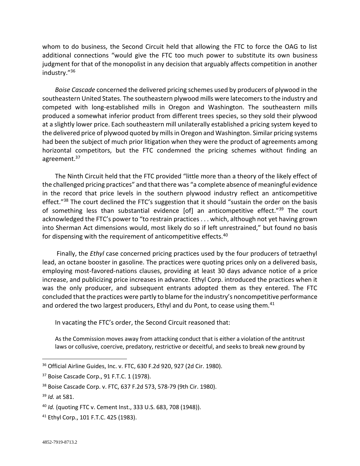whom to do business, the Second Circuit held that allowing the FTC to force the OAG to list additional connections "would give the FTC too much power to substitute its own business judgment for that of the monopolist in any decision that arguably affects competition in another industry."<sup>36</sup>

*Boise Cascade* concerned the delivered pricing schemes used by producers of plywood in the southeastern United States. The southeastern plywood mills were latecomers to the industry and competed with long-established mills in Oregon and Washington. The southeastern mills produced a somewhat inferior product from different trees species, so they sold their plywood at a slightly lower price. Each southeastern mill unilaterally established a pricing system keyed to the delivered price of plywood quoted by mills in Oregon and Washington. Similar pricing systems had been the subject of much prior litigation when they were the product of agreements among horizontal competitors, but the FTC condemned the pricing schemes without finding an agreement.<sup>37</sup>

The Ninth Circuit held that the FTC provided "little more than a theory of the likely effect of the challenged pricing practices" and that there was "a complete absence of meaningful evidence in the record that price levels in the southern plywood industry reflect an anticompetitive effect."<sup>38</sup> The court declined the FTC's suggestion that it should "sustain the order on the basis of something less than substantial evidence [of] an anticompetitive effect."<sup>39</sup> The court acknowledged the FTC's power to "to restrain practices . . . which, although not yet having grown into Sherman Act dimensions would, most likely do so if left unrestrained," but found no basis for dispensing with the requirement of anticompetitive effects.<sup>40</sup>

Finally, the *Ethyl* case concerned pricing practices used by the four producers of tetraethyl lead, an octane booster in gasoline. The practices were quoting prices only on a delivered basis, employing most-favored-nations clauses, providing at least 30 days advance notice of a price increase, and publicizing price increases in advance. Ethyl Corp. introduced the practices when it was the only producer, and subsequent entrants adopted them as they entered. The FTC concluded that the practices were partly to blame for the industry's noncompetitive performance and ordered the two largest producers, Ethyl and du Pont, to cease using them.<sup>41</sup>

In vacating the FTC's order, the Second Circuit reasoned that:

As the Commission moves away from attacking conduct that is either a violation of the antitrust laws or collusive, coercive, predatory, restrictive or deceitful, and seeks to break new ground by

<sup>41</sup> Ethyl Corp., 101 F.T.C. 425 (1983).

<sup>36</sup> Official Airline Guides, Inc. v. FTC, 630 F.2d 920, 927 (2d Cir. 1980).

<sup>37</sup> Boise Cascade Corp., 91 F.T.C. 1 (1978).

<sup>38</sup> Boise Cascade Corp. v. FTC, 637 F.2d 573, 578-79 (9th Cir. 1980).

<sup>39</sup> *Id.* at 581.

<sup>40</sup> *Id.* (quoting FTC v. Cement Inst., 333 U.S. 683, 708 (1948)).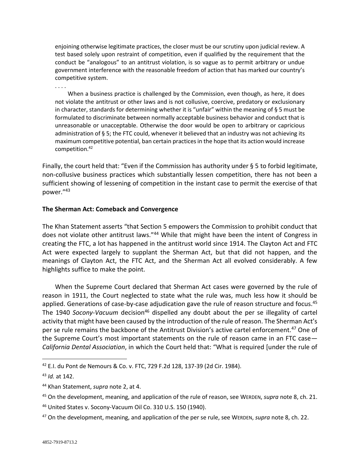enjoining otherwise legitimate practices, the closer must be our scrutiny upon judicial review. A test based solely upon restraint of competition, even if qualified by the requirement that the conduct be "analogous" to an antitrust violation, is so vague as to permit arbitrary or undue government interference with the reasonable freedom of action that has marked our country's competitive system.

. . . .

When a business practice is challenged by the Commission, even though, as here, it does not violate the antitrust or other laws and is not collusive, coercive, predatory or exclusionary in character, standards for determining whether it is "unfair" within the meaning of § 5 must be formulated to discriminate between normally acceptable business behavior and conduct that is unreasonable or unacceptable. Otherwise the door would be open to arbitrary or capricious administration of § 5; the FTC could, whenever it believed that an industry was not achieving its maximum competitive potential, ban certain practices in the hope that its action would increase competition.<sup>42</sup>

Finally, the court held that: "Even if the Commission has authority under § 5 to forbid legitimate, non-collusive business practices which substantially lessen competition, there has not been a sufficient showing of lessening of competition in the instant case to permit the exercise of that power."<sup>43</sup>

## **The Sherman Act: Comeback and Convergence**

The Khan Statement asserts "that Section 5 empowers the Commission to prohibit conduct that does not violate other antitrust laws."44 While that might have been the intent of Congress in creating the FTC, a lot has happened in the antitrust world since 1914. The Clayton Act and FTC Act were expected largely to supplant the Sherman Act, but that did not happen, and the meanings of Clayton Act, the FTC Act, and the Sherman Act all evolved considerably. A few highlights suffice to make the point.

When the Supreme Court declared that Sherman Act cases were governed by the rule of reason in 1911, the Court neglected to state what the rule was, much less how it should be applied. Generations of case-by-case adjudication gave the rule of reason structure and focus.<sup>45</sup> The 1940 *Socony-Vacuum* decision<sup>46</sup> dispelled any doubt about the per se illegality of cartel activity that might have been caused by the introduction of the rule of reason. The Sherman Act's per se rule remains the backbone of the Antitrust Division's active cartel enforcement.<sup>47</sup> One of the Supreme Court's most important statements on the rule of reason came in an FTC case— *California Dental Association*, in which the Court held that: "What is required [under the rule of

<sup>42</sup> E.I. du Pont de Nemours & Co. v. FTC, 729 F.2d 128, 137-39 (2d Cir. 1984).

<sup>43</sup> *Id.* at 142.

<sup>44</sup> Khan Statement, *supra* note 2, at 4.

<sup>45</sup> On the development, meaning, and application of the rule of reason, see WERDEN, *supra* note 8, ch. 21.

<sup>46</sup> United States v. Socony-Vacuum Oil Co. 310 U.S. 150 (1940).

<sup>47</sup> On the development, meaning, and application of the per se rule, see WERDEN, *supra* note 8, ch. 22.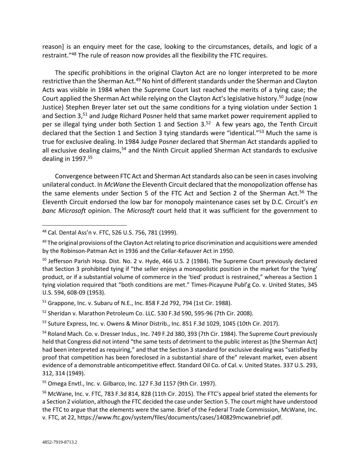reason] is an enquiry meet for the case, looking to the circumstances, details, and logic of a restraint."<sup>48</sup> The rule of reason now provides all the flexibility the FTC requires.

The specific prohibitions in the original Clayton Act are no longer interpreted to be more restrictive than the Sherman Act.<sup>49</sup> No hint of different standards under the Sherman and Clayton Acts was visible in 1984 when the Supreme Court last reached the merits of a tying case; the Court applied the Sherman Act while relying on the Clayton Act's legislative history.<sup>50</sup> Judge (now Justice) Stephen Breyer later set out the same conditions for a tying violation under Section 1 and Section 3,<sup>51</sup> and Judge Richard Posner held that same market power requirement applied to per se illegal tying under both Section 1 and Section 3.<sup>52</sup> A few years ago, the Tenth Circuit declared that the Section 1 and Section 3 tying standards were "identical."<sup>53</sup> Much the same is true for exclusive dealing. In 1984 Judge Posner declared that Sherman Act standards applied to all exclusive dealing claims,<sup>54</sup> and the Ninth Circuit applied Sherman Act standards to exclusive dealing in 1997.<sup>55</sup>

Convergence between FTC Act and Sherman Act standards also can be seen in cases involving unilateral conduct. In *McWane* the Eleventh Circuit declared that the monopolization offense has the same elements under Section 5 of the FTC Act and Section 2 of the Sherman Act.<sup>56</sup> The Eleventh Circuit endorsed the low bar for monopoly maintenance cases set by D.C. Circuit's *en banc Microsoft* opinion. The *Microsoft* court held that it was sufficient for the government to

<sup>51</sup> Grappone, Inc. v. Subaru of N.E., Inc. 858 F.2d 792, 794 (1st Cir. 1988).

<sup>52</sup> Sheridan v. Marathon Petroleum Co. LLC. 530 F.3d 590, 595-96 (7th Cir. 2008).

<sup>53</sup> Suture Express, Inc. v. Owens & Minor Distrib., Inc. 851 F.3d 1029, 1045 (10th Cir. 2017).

<sup>55</sup> Omega Envtl., Inc. v. Gilbarco, Inc. 127 F.3d 1157 (9th Cir. 1997).

<sup>48</sup> Cal. Dental Ass'n v. FTC, 526 U.S. 756, 781 (1999).

<sup>&</sup>lt;sup>49</sup> The original provisions of the Clayton Act relating to price discrimination and acquisitions were amended by the Robinson-Patman Act in 1936 and the Cellar-Kefauver Act in 1950.

<sup>&</sup>lt;sup>50</sup> Jefferson Parish Hosp. Dist. No. 2 v. Hyde, 466 U.S. 2 (1984). The Supreme Court previously declared that Section 3 prohibited tying if "the seller enjoys a monopolistic position in the market for the 'tying' product, or if a substantial volume of commerce in the 'tied' product is restrained," whereas a Section 1 tying violation required that "both conditions are met." Times-Picayune Publ'g Co. v. United States, 345 U.S. 594, 608-09 (1953).

<sup>54</sup> Roland Mach. Co. v. Dresser Indus., Inc. 749 F.2d 380, 393 (7th Cir. 1984). The Supreme Court previously held that Congress did not intend "the same tests of detriment to the public interest as [the Sherman Act] had been interpreted as requiring," and that the Section 3 standard for exclusive dealing was "satisfied by proof that competition has been foreclosed in a substantial share of the" relevant market, even absent evidence of a demonstrable anticompetitive effect. Standard Oil Co. of Cal. v. United States. 337 U.S. 293, 312, 314 (1949).

<sup>56</sup> McWane, Inc. v. FTC, 783 F.3d 814, 828 (11th Cir. 2015). The FTC's appeal brief stated the elements for a Section 2 violation, although the FTC decided the case under Section 5. The court might have understood the FTC to argue that the elements were the same. Brief of the Federal Trade Commission, McWane, Inc. v. FTC, at 22, https://www.ftc.gov/system/files/documents/cases/140829mcwanebrief.pdf.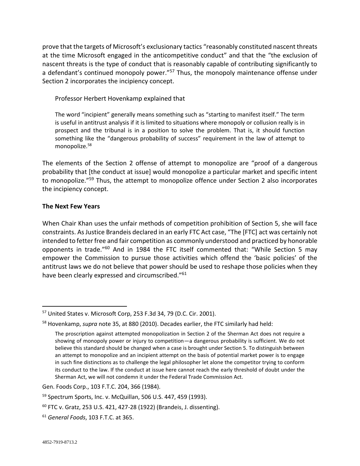prove that the targets of Microsoft's exclusionary tactics "reasonably constituted nascent threats at the time Microsoft engaged in the anticompetitive conduct" and that the "the exclusion of nascent threats is the type of conduct that is reasonably capable of contributing significantly to a defendant's continued monopoly power."<sup>57</sup> Thus, the monopoly maintenance offense under Section 2 incorporates the incipiency concept.

Professor Herbert Hovenkamp explained that

The word "incipient" generally means something such as "starting to manifest itself." The term is useful in antitrust analysis if it is limited to situations where monopoly or collusion really is in prospect and the tribunal is in a position to solve the problem. That is, it should function something like the "dangerous probability of success" requirement in the law of attempt to monopolize.<sup>58</sup>

The elements of the Section 2 offense of attempt to monopolize are "proof of a dangerous probability that [the conduct at issue] would monopolize a particular market and specific intent to monopolize."<sup>59</sup> Thus, the attempt to monopolize offence under Section 2 also incorporates the incipiency concept.

#### **The Next Few Years**

When Chair Khan uses the unfair methods of competition prohibition of Section 5, she will face constraints. As Justice Brandeis declared in an early FTC Act case, "The [FTC] act was certainly not intended to fetter free and fair competition as commonly understood and practiced by honorable opponents in trade."<sup>60</sup> And in 1984 the FTC itself commented that: "While Section 5 may empower the Commission to pursue those activities which offend the 'basic policies' of the antitrust laws we do not believe that power should be used to reshape those policies when they have been clearly expressed and circumscribed."<sup>61</sup>

<sup>57</sup> United States v. Microsoft Corp, 253 F.3d 34, 79 (D.C. Cir. 2001).

<sup>58</sup> Hovenkamp, *supra* note 35, at 880 (2010). Decades earlier, the FTC similarly had held:

The proscription against attempted monopolization in Section 2 of the Sherman Act does not require a showing of monopoly power or injury to competition—a dangerous probability is sufficient. We do not believe this standard should be changed when a case is brought under Section 5. To distinguish between an attempt to monopolize and an incipient attempt on the basis of potential market power is to engage in such fine distinctions as to challenge the legal philosopher let alone the competitor trying to conform its conduct to the law. If the conduct at issue here cannot reach the early threshold of doubt under the Sherman Act, we will not condemn it under the Federal Trade Commission Act.

Gen. Foods Corp., 103 F.T.C. 204, 366 (1984).

<sup>59</sup> Spectrum Sports, Inc. v. McQuillan, 506 U.S. 447, 459 (1993).

<sup>60</sup> FTC v. Gratz, 253 U.S. 421, 427-28 (1922) (Brandeis, J. dissenting).

<sup>61</sup> *General Foods*, 103 F.T.C. at 365.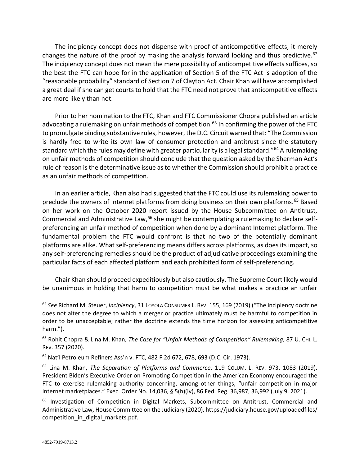The incipiency concept does not dispense with proof of anticompetitive effects; it merely changes the nature of the proof by making the analysis forward looking and thus predictive.<sup>62</sup> The incipiency concept does not mean the mere possibility of anticompetitive effects suffices, so the best the FTC can hope for in the application of Section 5 of the FTC Act is adoption of the "reasonable probability" standard of Section 7 of Clayton Act. Chair Khan will have accomplished a great deal if she can get courts to hold that the FTC need not prove that anticompetitive effects are more likely than not.

Prior to her nomination to the FTC, Khan and FTC Commissioner Chopra published an article advocating a rulemaking on unfair methods of competition. $63$  In confirming the power of the FTC to promulgate binding substantive rules, however, the D.C. Circuit warned that: "The Commission is hardly free to write its own law of consumer protection and antitrust since the statutory standard which the rules may define with greater particularity is a legal standard."<sup>64</sup> A rulemaking on unfair methods of competition should conclude that the question asked by the Sherman Act's rule of reason is the determinative issue as to whether the Commission should prohibit a practice as an unfair methods of competition.

In an earlier article, Khan also had suggested that the FTC could use its rulemaking power to preclude the owners of Internet platforms from doing business on their own platforms.<sup>65</sup> Based on her work on the October 2020 report issued by the House Subcommittee on Antitrust, Commercial and Administrative Law,<sup>66</sup> she might be contemplating a rulemaking to declare selfpreferencing an unfair method of competition when done by a dominant Internet platform. The fundamental problem the FTC would confront is that no two of the potentially dominant platforms are alike. What self-preferencing means differs across platforms, as does its impact, so any self-preferencing remedies should be the product of adjudicative proceedings examining the particular facts of each affected platform and each prohibited form of self-preferencing.

Chair Khan should proceed expeditiously but also cautiously. The Supreme Court likely would be unanimous in holding that harm to competition must be what makes a practice an unfair

<sup>62</sup> *See* Richard M. Steuer, *Incipiency*, 31 LOYOLA CONSUMER L. REV. 155, 169 (2019) ("The incipiency doctrine does not alter the degree to which a merger or practice ultimately must be harmful to competition in order to be unacceptable; rather the doctrine extends the time horizon for assessing anticompetitive harm.").

<sup>63</sup> Rohit Chopra & Lina M. Khan, *The Case for "Unfair Methods of Competition" Rulemaking*, 87 U. CHI. L. REV. 357 (2020).

<sup>64</sup> Nat'l Petroleum Refiners Ass'n v. FTC, 482 F.2d 672, 678, 693 (D.C. Cir. 1973).

<sup>65</sup> Lina M. Khan, *The Separation of Platforms and Commerce*, 119 COLUM. L. REV. 973, 1083 (2019). President Biden's Executive Order on Promoting Competition in the American Economy encouraged the FTC to exercise rulemaking authority concerning, among other things, "unfair competition in major Internet marketplaces." Exec. Order No. 14,036, § 5(h)(iv), 86 Fed. Reg. 36,987, 36,992 (July 9, 2021).

<sup>&</sup>lt;sup>66</sup> Investigation of Competition in Digital Markets, Subcommittee on Antitrust, Commercial and Administrative Law, House Committee on the Judiciary (2020), https://judiciary.house.gov/uploadedfiles/ competition\_in\_digital\_markets.pdf.